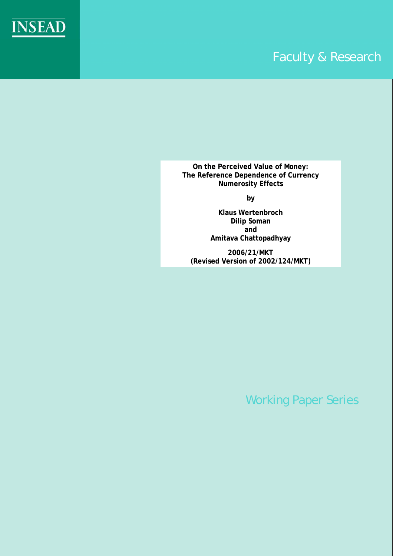

**On the Perceived Value of Money: The Reference Dependence of Currency Numerosity Effects** 

**INSEAD** 

**by** 

**Klaus Wertenbroch Dilip Soman and Amitava Chattopadhyay** 

**2006/21/MKT (Revised Version of 2002/124/MKT)**

Working Paper Series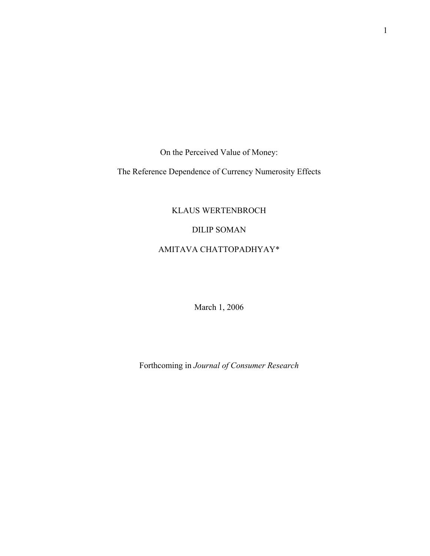On the Perceived Value of Money:

The Reference Dependence of Currency Numerosity Effects

## KLAUS WERTENBROCH

## DILIP SOMAN

## AMITAVA CHATTOPADHYAY\*

March 1, 2006

Forthcoming in *Journal of Consumer Research*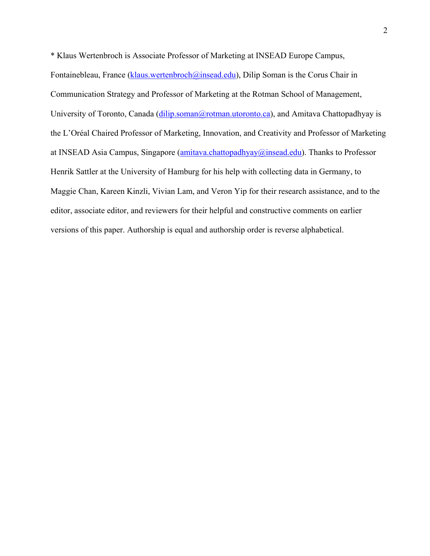\* Klaus Wertenbroch is Associate Professor of Marketing at INSEAD Europe Campus, Fontainebleau, France ([klaus.wertenbroch@insead.edu\)](mailto:klaus.wertenbroch@insead.edu), Dilip Soman is the Corus Chair in Communication Strategy and Professor of Marketing at the Rotman School of Management, University of Toronto, Canada [\(dilip.soman@rotman.utoronto.ca\)](mailto:dilip.soman@rotman.utoronto.ca), and Amitava Chattopadhyay is the L'Oréal Chaired Professor of Marketing, Innovation, and Creativity and Professor of Marketing at INSEAD Asia Campus, Singapore ([amitava.chattopadhyay@insead.edu\)](mailto:amitava.chattopadhyay@insead.edu). Thanks to Professor Henrik Sattler at the University of Hamburg for his help with collecting data in Germany, to Maggie Chan, Kareen Kinzli, Vivian Lam, and Veron Yip for their research assistance, and to the editor, associate editor, and reviewers for their helpful and constructive comments on earlier versions of this paper. Authorship is equal and authorship order is reverse alphabetical.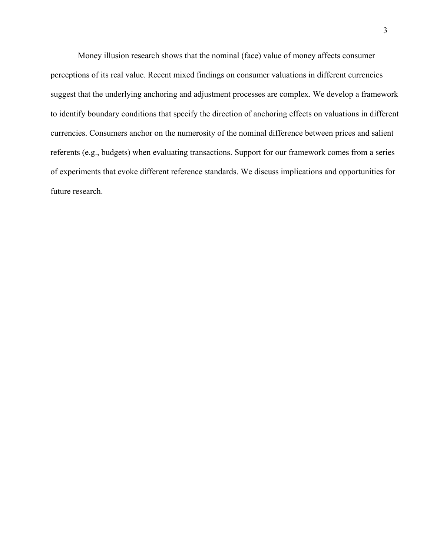Money illusion research shows that the nominal (face) value of money affects consumer perceptions of its real value. Recent mixed findings on consumer valuations in different currencies suggest that the underlying anchoring and adjustment processes are complex. We develop a framework to identify boundary conditions that specify the direction of anchoring effects on valuations in different currencies. Consumers anchor on the numerosity of the nominal difference between prices and salient referents (e.g., budgets) when evaluating transactions. Support for our framework comes from a series of experiments that evoke different reference standards. We discuss implications and opportunities for future research.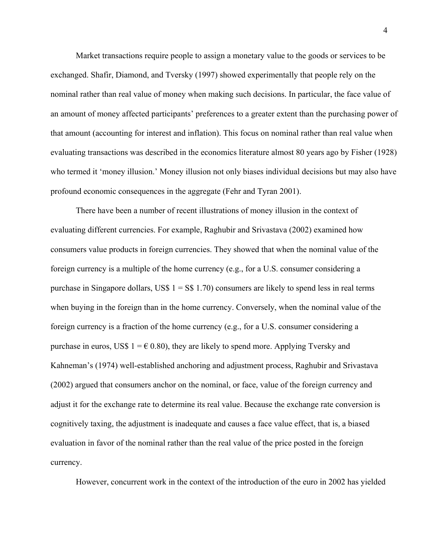Market transactions require people to assign a monetary value to the goods or services to be exchanged. Shafir, Diamond, and Tversky (1997) showed experimentally that people rely on the nominal rather than real value of money when making such decisions. In particular, the face value of an amount of money affected participants' preferences to a greater extent than the purchasing power of that amount (accounting for interest and inflation). This focus on nominal rather than real value when evaluating transactions was described in the economics literature almost 80 years ago by Fisher (1928) who termed it 'money illusion.' Money illusion not only biases individual decisions but may also have profound economic consequences in the aggregate (Fehr and Tyran 2001).

There have been a number of recent illustrations of money illusion in the context of evaluating different currencies. For example, Raghubir and Srivastava (2002) examined how consumers value products in foreign currencies. They showed that when the nominal value of the foreign currency is a multiple of the home currency (e.g., for a U.S. consumer considering a purchase in Singapore dollars, US\$  $1 = S$$  1.70) consumers are likely to spend less in real terms when buying in the foreign than in the home currency. Conversely, when the nominal value of the foreign currency is a fraction of the home currency (e.g., for a U.S. consumer considering a purchase in euros, US\$  $1 = \epsilon$  0.80), they are likely to spend more. Applying Tversky and Kahneman's (1974) well-established anchoring and adjustment process, Raghubir and Srivastava (2002) argued that consumers anchor on the nominal, or face, value of the foreign currency and adjust it for the exchange rate to determine its real value. Because the exchange rate conversion is cognitively taxing, the adjustment is inadequate and causes a face value effect, that is, a biased evaluation in favor of the nominal rather than the real value of the price posted in the foreign currency.

However, concurrent work in the context of the introduction of the euro in 2002 has yielded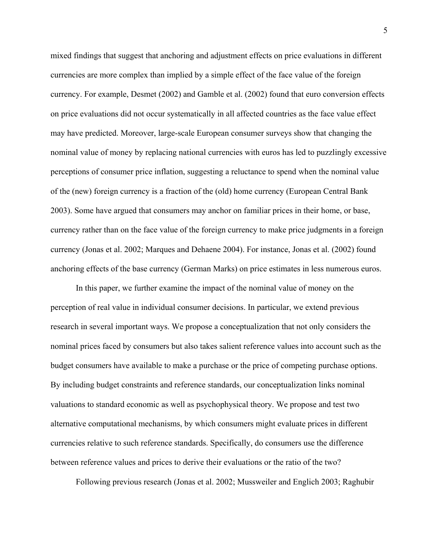mixed findings that suggest that anchoring and adjustment effects on price evaluations in different currencies are more complex than implied by a simple effect of the face value of the foreign currency. For example, Desmet (2002) and Gamble et al. (2002) found that euro conversion effects on price evaluations did not occur systematically in all affected countries as the face value effect may have predicted. Moreover, large-scale European consumer surveys show that changing the nominal value of money by replacing national currencies with euros has led to puzzlingly excessive perceptions of consumer price inflation, suggesting a reluctance to spend when the nominal value of the (new) foreign currency is a fraction of the (old) home currency (European Central Bank 2003). Some have argued that consumers may anchor on familiar prices in their home, or base, currency rather than on the face value of the foreign currency to make price judgments in a foreign currency (Jonas et al. 2002; Marques and Dehaene 2004). For instance, Jonas et al. (2002) found anchoring effects of the base currency (German Marks) on price estimates in less numerous euros.

In this paper, we further examine the impact of the nominal value of money on the perception of real value in individual consumer decisions. In particular, we extend previous research in several important ways. We propose a conceptualization that not only considers the nominal prices faced by consumers but also takes salient reference values into account such as the budget consumers have available to make a purchase or the price of competing purchase options. By including budget constraints and reference standards, our conceptualization links nominal valuations to standard economic as well as psychophysical theory. We propose and test two alternative computational mechanisms, by which consumers might evaluate prices in different currencies relative to such reference standards. Specifically, do consumers use the difference between reference values and prices to derive their evaluations or the ratio of the two?

Following previous research (Jonas et al. 2002; Mussweiler and Englich 2003; Raghubir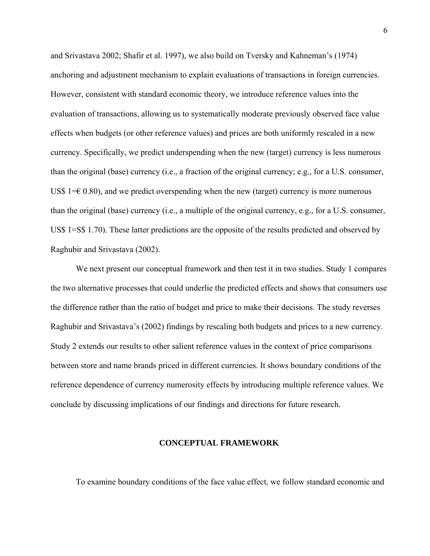and Srivastava 2002; Shafir et al. 1997), we also build on Tversky and Kahneman's (1974) anchoring and adjustment mechanism to explain evaluations of transactions in foreign currencies. However, consistent with standard economic theory, we introduce reference values into the evaluation of transactions, allowing us to systematically moderate previously observed face value effects when budgets (or other reference values) and prices are both uniformly rescaled in a new currency. Specifically, we predict underspending when the new (target) currency is less numerous than the original (base) currency (i.e., a fraction of the original currency; e.g., for a U.S. consumer, US\$ 1= $\epsilon$  0.80), and we predict overspending when the new (target) currency is more numerous than the original (base) currency (i.e., a multiple of the original currency, e.g., for a U.S. consumer, US\$ 1=S\$ 1.70). These latter predictions are the opposite of the results predicted and observed by Raghubir and Srivastava (2002).

We next present our conceptual framework and then test it in two studies. Study 1 compares the two alternative processes that could underlie the predicted effects and shows that consumers use the difference rather than the ratio of budget and price to make their decisions. The study reverses Raghubir and Srivastava's (2002) findings by rescaling both budgets and prices to a new currency. Study 2 extends our results to other salient reference values in the context of price comparisons between store and name brands priced in different currencies. It shows boundary conditions of the reference dependence of currency numerosity effects by introducing multiple reference values. We conclude by discussing implications of our findings and directions for future research.

#### **CONCEPTUAL FRAMEWORK**

To examine boundary conditions of the face value effect, we follow standard economic and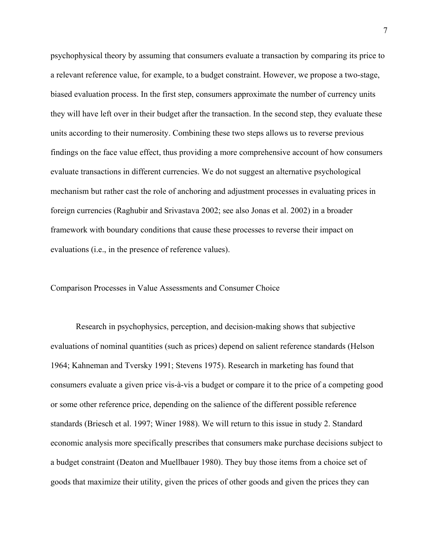psychophysical theory by assuming that consumers evaluate a transaction by comparing its price to a relevant reference value, for example, to a budget constraint. However, we propose a two-stage, biased evaluation process. In the first step, consumers approximate the number of currency units they will have left over in their budget after the transaction. In the second step, they evaluate these units according to their numerosity. Combining these two steps allows us to reverse previous findings on the face value effect, thus providing a more comprehensive account of how consumers evaluate transactions in different currencies. We do not suggest an alternative psychological mechanism but rather cast the role of anchoring and adjustment processes in evaluating prices in foreign currencies (Raghubir and Srivastava 2002; see also Jonas et al. 2002) in a broader framework with boundary conditions that cause these processes to reverse their impact on evaluations (i.e., in the presence of reference values).

#### Comparison Processes in Value Assessments and Consumer Choice

Research in psychophysics, perception, and decision-making shows that subjective evaluations of nominal quantities (such as prices) depend on salient reference standards (Helson 1964; Kahneman and Tversky 1991; Stevens 1975). Research in marketing has found that consumers evaluate a given price vis-à-vis a budget or compare it to the price of a competing good or some other reference price, depending on the salience of the different possible reference standards (Briesch et al. 1997; Winer 1988). We will return to this issue in study 2. Standard economic analysis more specifically prescribes that consumers make purchase decisions subject to a budget constraint (Deaton and Muellbauer 1980). They buy those items from a choice set of goods that maximize their utility, given the prices of other goods and given the prices they can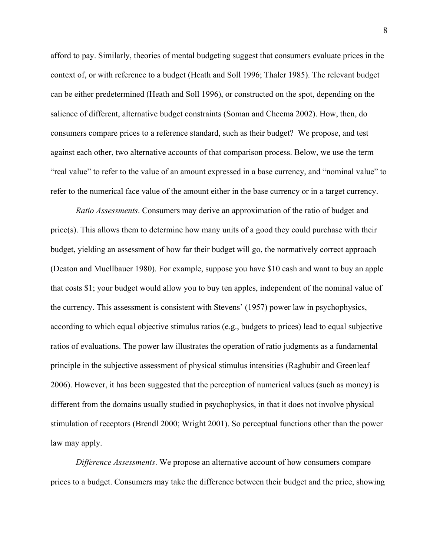afford to pay. Similarly, theories of mental budgeting suggest that consumers evaluate prices in the context of, or with reference to a budget (Heath and Soll 1996; Thaler 1985). The relevant budget can be either predetermined (Heath and Soll 1996), or constructed on the spot, depending on the salience of different, alternative budget constraints (Soman and Cheema 2002). How, then, do consumers compare prices to a reference standard, such as their budget? We propose, and test against each other, two alternative accounts of that comparison process. Below, we use the term "real value" to refer to the value of an amount expressed in a base currency, and "nominal value" to refer to the numerical face value of the amount either in the base currency or in a target currency.

*Ratio Assessments*. Consumers may derive an approximation of the ratio of budget and price(s). This allows them to determine how many units of a good they could purchase with their budget, yielding an assessment of how far their budget will go, the normatively correct approach (Deaton and Muellbauer 1980). For example, suppose you have \$10 cash and want to buy an apple that costs \$1; your budget would allow you to buy ten apples, independent of the nominal value of the currency. This assessment is consistent with Stevens' (1957) power law in psychophysics, according to which equal objective stimulus ratios (e.g., budgets to prices) lead to equal subjective ratios of evaluations. The power law illustrates the operation of ratio judgments as a fundamental principle in the subjective assessment of physical stimulus intensities (Raghubir and Greenleaf 2006). However, it has been suggested that the perception of numerical values (such as money) is different from the domains usually studied in psychophysics, in that it does not involve physical stimulation of receptors (Brendl 2000; Wright 2001). So perceptual functions other than the power law may apply.

*Difference Assessments*. We propose an alternative account of how consumers compare prices to a budget. Consumers may take the difference between their budget and the price, showing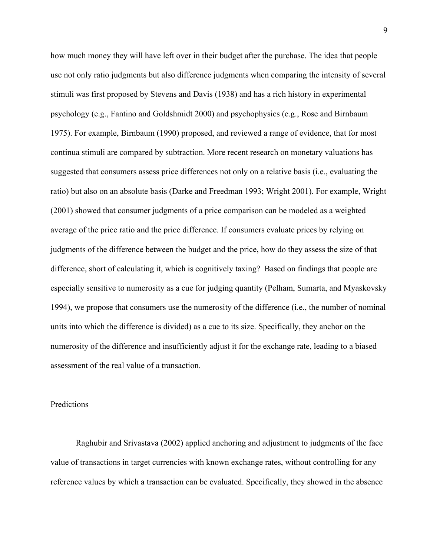how much money they will have left over in their budget after the purchase. The idea that people use not only ratio judgments but also difference judgments when comparing the intensity of several stimuli was first proposed by Stevens and Davis (1938) and has a rich history in experimental psychology (e.g., Fantino and Goldshmidt 2000) and psychophysics (e.g., Rose and Birnbaum 1975). For example, Birnbaum (1990) proposed, and reviewed a range of evidence, that for most continua stimuli are compared by subtraction. More recent research on monetary valuations has suggested that consumers assess price differences not only on a relative basis (i.e., evaluating the ratio) but also on an absolute basis (Darke and Freedman 1993; Wright 2001). For example, Wright (2001) showed that consumer judgments of a price comparison can be modeled as a weighted average of the price ratio and the price difference. If consumers evaluate prices by relying on judgments of the difference between the budget and the price, how do they assess the size of that difference, short of calculating it, which is cognitively taxing? Based on findings that people are especially sensitive to numerosity as a cue for judging quantity (Pelham, Sumarta, and Myaskovsky 1994), we propose that consumers use the numerosity of the difference (i.e., the number of nominal units into which the difference is divided) as a cue to its size. Specifically, they anchor on the numerosity of the difference and insufficiently adjust it for the exchange rate, leading to a biased assessment of the real value of a transaction.

#### Predictions

Raghubir and Srivastava (2002) applied anchoring and adjustment to judgments of the face value of transactions in target currencies with known exchange rates, without controlling for any reference values by which a transaction can be evaluated. Specifically, they showed in the absence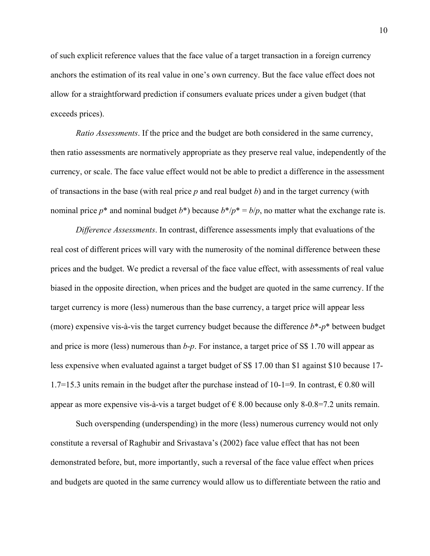of such explicit reference values that the face value of a target transaction in a foreign currency anchors the estimation of its real value in one's own currency. But the face value effect does not allow for a straightforward prediction if consumers evaluate prices under a given budget (that exceeds prices).

*Ratio Assessments*. If the price and the budget are both considered in the same currency, then ratio assessments are normatively appropriate as they preserve real value, independently of the currency, or scale. The face value effect would not be able to predict a difference in the assessment of transactions in the base (with real price *p* and real budget *b*) and in the target currency (with nominal price  $p^*$  and nominal budget  $b^*$ ) because  $b^*/p^* = b/p$ , no matter what the exchange rate is.

*Difference Assessments*. In contrast, difference assessments imply that evaluations of the real cost of different prices will vary with the numerosity of the nominal difference between these prices and the budget. We predict a reversal of the face value effect, with assessments of real value biased in the opposite direction, when prices and the budget are quoted in the same currency. If the target currency is more (less) numerous than the base currency, a target price will appear less (more) expensive vis-à-vis the target currency budget because the difference *b*\*-*p*\* between budget and price is more (less) numerous than *b*-*p*. For instance, a target price of S\$ 1.70 will appear as less expensive when evaluated against a target budget of S\$ 17.00 than \$1 against \$10 because 17- 1.7=15.3 units remain in the budget after the purchase instead of 10-1=9. In contrast,  $\epsilon$  0.80 will appear as more expensive vis-à-vis a target budget of  $\epsilon$  8.00 because only 8-0.8=7.2 units remain.

Such overspending (underspending) in the more (less) numerous currency would not only constitute a reversal of Raghubir and Srivastava's (2002) face value effect that has not been demonstrated before, but, more importantly, such a reversal of the face value effect when prices and budgets are quoted in the same currency would allow us to differentiate between the ratio and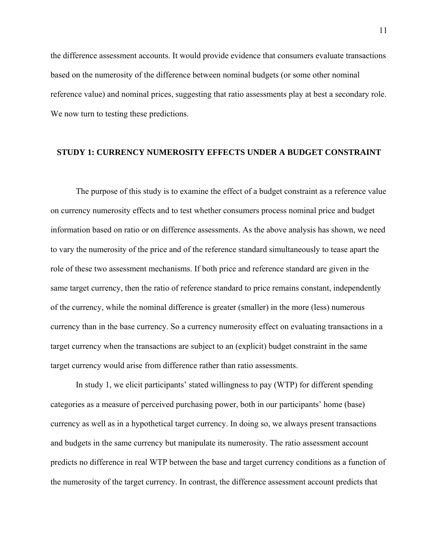the difference assessment accounts. It would provide evidence that consumers evaluate transactions based on the numerosity of the difference between nominal budgets (or some other nominal reference value) and nominal prices, suggesting that ratio assessments play at best a secondary role. We now turn to testing these predictions.

### **STUDY 1: CURRENCY NUMEROSITY EFFECTS UNDER A BUDGET CONSTRAINT**

The purpose of this study is to examine the effect of a budget constraint as a reference value on currency numerosity effects and to test whether consumers process nominal price and budget information based on ratio or on difference assessments. As the above analysis has shown, we need to vary the numerosity of the price and of the reference standard simultaneously to tease apart the role of these two assessment mechanisms. If both price and reference standard are given in the same target currency, then the ratio of reference standard to price remains constant, independently of the currency, while the nominal difference is greater (smaller) in the more (less) numerous currency than in the base currency. So a currency numerosity effect on evaluating transactions in a target currency when the transactions are subject to an (explicit) budget constraint in the same target currency would arise from difference rather than ratio assessments.

In study 1, we elicit participants' stated willingness to pay (WTP) for different spending categories as a measure of perceived purchasing power, both in our participants' home (base) currency as well as in a hypothetical target currency. In doing so, we always present transactions and budgets in the same currency but manipulate its numerosity. The ratio assessment account predicts no difference in real WTP between the base and target currency conditions as a function of the numerosity of the target currency. In contrast, the difference assessment account predicts that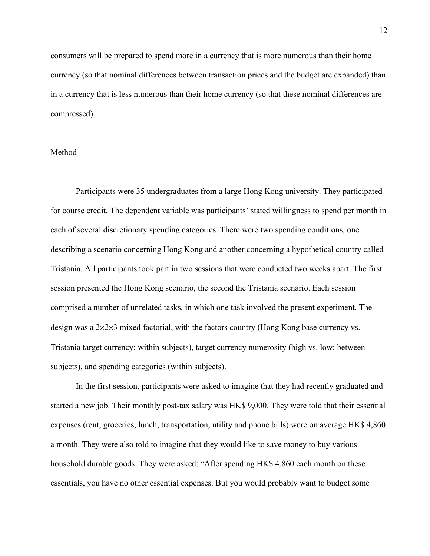consumers will be prepared to spend more in a currency that is more numerous than their home currency (so that nominal differences between transaction prices and the budget are expanded) than in a currency that is less numerous than their home currency (so that these nominal differences are compressed).

### Method

Participants were 35 undergraduates from a large Hong Kong university. They participated for course credit. The dependent variable was participants' stated willingness to spend per month in each of several discretionary spending categories. There were two spending conditions, one describing a scenario concerning Hong Kong and another concerning a hypothetical country called Tristania. All participants took part in two sessions that were conducted two weeks apart. The first session presented the Hong Kong scenario, the second the Tristania scenario. Each session comprised a number of unrelated tasks, in which one task involved the present experiment. The design was a 2×2×3 mixed factorial, with the factors country (Hong Kong base currency vs. Tristania target currency; within subjects), target currency numerosity (high vs. low; between subjects), and spending categories (within subjects).

In the first session, participants were asked to imagine that they had recently graduated and started a new job. Their monthly post-tax salary was HK\$ 9,000. They were told that their essential expenses (rent, groceries, lunch, transportation, utility and phone bills) were on average HK\$ 4,860 a month. They were also told to imagine that they would like to save money to buy various household durable goods. They were asked: "After spending HK\$ 4,860 each month on these essentials, you have no other essential expenses. But you would probably want to budget some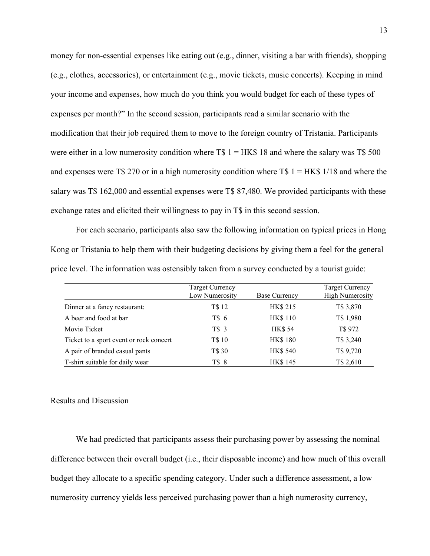money for non-essential expenses like eating out (e.g., dinner, visiting a bar with friends), shopping (e.g., clothes, accessories), or entertainment (e.g., movie tickets, music concerts). Keeping in mind your income and expenses, how much do you think you would budget for each of these types of expenses per month?" In the second session, participants read a similar scenario with the modification that their job required them to move to the foreign country of Tristania. Participants were either in a low numerosity condition where T\$  $1 = HK\$  18 and where the salary was T\$ 500 and expenses were T\$ 270 or in a high numerosity condition where T\$  $1 = HK$$  1/18 and where the salary was T\$ 162,000 and essential expenses were T\$ 87,480. We provided participants with these exchange rates and elicited their willingness to pay in T\$ in this second session.

For each scenario, participants also saw the following information on typical prices in Hong Kong or Tristania to help them with their budgeting decisions by giving them a feel for the general price level. The information was ostensibly taken from a survey conducted by a tourist guide:

|                                         | <b>Target Currency</b><br>Low Numerosity | <b>Base Currency</b> | <b>Target Currency</b><br><b>High Numerosity</b> |
|-----------------------------------------|------------------------------------------|----------------------|--------------------------------------------------|
| Dinner at a fancy restaurant:           | T\$ 12                                   | <b>HK\$215</b>       | T\$ 3,870                                        |
| A beer and food at bar                  | T\$ 6                                    | <b>HK\$110</b>       | T\$ 1,980                                        |
| Movie Ticket                            | T\$ 3                                    | <b>HK\$54</b>        | T\$ 972                                          |
| Ticket to a sport event or rock concert | T\$ 10                                   | <b>HK\$180</b>       | T\$ 3,240                                        |
| A pair of branded casual pants          | T\$ 30                                   | <b>HK\$ 540</b>      | T\$ 9,720                                        |
| T-shirt suitable for daily wear         | T\$ 8                                    | <b>HK\$145</b>       | T\$ 2,610                                        |

#### Results and Discussion

We had predicted that participants assess their purchasing power by assessing the nominal difference between their overall budget (i.e., their disposable income) and how much of this overall budget they allocate to a specific spending category. Under such a difference assessment, a low numerosity currency yields less perceived purchasing power than a high numerosity currency,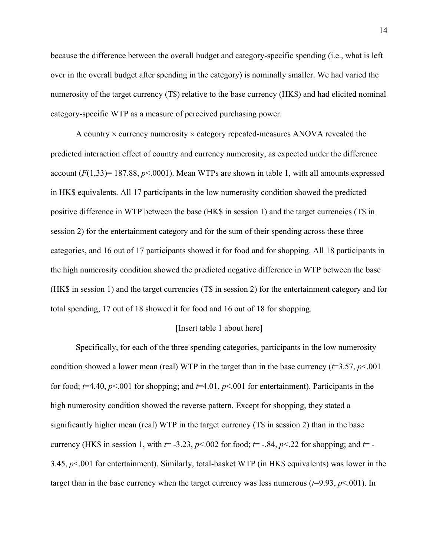because the difference between the overall budget and category-specific spending (i.e., what is left over in the overall budget after spending in the category) is nominally smaller. We had varied the numerosity of the target currency (T\$) relative to the base currency (HK\$) and had elicited nominal category-specific WTP as a measure of perceived purchasing power.

A country  $\times$  currency numerosity  $\times$  category repeated-measures ANOVA revealed the predicted interaction effect of country and currency numerosity, as expected under the difference account  $(F(1,33) = 187.88, p < 0.001)$ . Mean WTPs are shown in table 1, with all amounts expressed in HK\$ equivalents. All 17 participants in the low numerosity condition showed the predicted positive difference in WTP between the base (HK\$ in session 1) and the target currencies (T\$ in session 2) for the entertainment category and for the sum of their spending across these three categories, and 16 out of 17 participants showed it for food and for shopping. All 18 participants in the high numerosity condition showed the predicted negative difference in WTP between the base (HK\$ in session 1) and the target currencies (T\$ in session 2) for the entertainment category and for total spending, 17 out of 18 showed it for food and 16 out of 18 for shopping.

#### [Insert table 1 about here]

Specifically, for each of the three spending categories, participants in the low numerosity condition showed a lower mean (real) WTP in the target than in the base currency ( $t=3.57, p<.001$ for food;  $t=4.40$ ,  $p<.001$  for shopping; and  $t=4.01$ ,  $p<.001$  for entertainment). Participants in the high numerosity condition showed the reverse pattern. Except for shopping, they stated a significantly higher mean (real) WTP in the target currency (T\$ in session 2) than in the base currency (HK\$ in session 1, with  $t = -3.23$ ,  $p < .002$  for food;  $t = -.84$ ,  $p < .22$  for shopping; and  $t = -1.23$ 3.45, *p*<.001 for entertainment). Similarly, total-basket WTP (in HK\$ equivalents) was lower in the target than in the base currency when the target currency was less numerous  $(t=9.93, p<.001)$ . In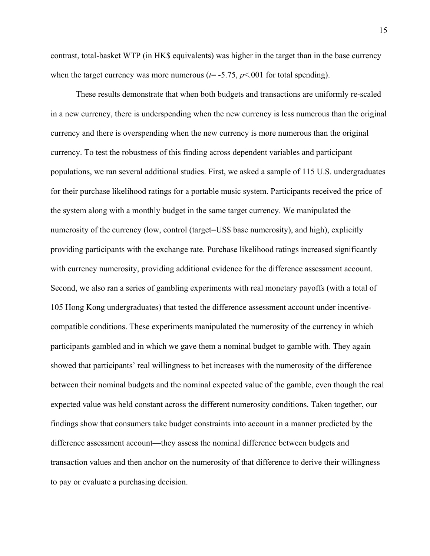contrast, total-basket WTP (in HK\$ equivalents) was higher in the target than in the base currency when the target currency was more numerous  $(t=$  -5.75,  $p$ <.001 for total spending).

These results demonstrate that when both budgets and transactions are uniformly re-scaled in a new currency, there is underspending when the new currency is less numerous than the original currency and there is overspending when the new currency is more numerous than the original currency. To test the robustness of this finding across dependent variables and participant populations, we ran several additional studies. First, we asked a sample of 115 U.S. undergraduates for their purchase likelihood ratings for a portable music system. Participants received the price of the system along with a monthly budget in the same target currency. We manipulated the numerosity of the currency (low, control (target=US\$ base numerosity), and high), explicitly providing participants with the exchange rate. Purchase likelihood ratings increased significantly with currency numerosity, providing additional evidence for the difference assessment account. Second, we also ran a series of gambling experiments with real monetary payoffs (with a total of 105 Hong Kong undergraduates) that tested the difference assessment account under incentivecompatible conditions. These experiments manipulated the numerosity of the currency in which participants gambled and in which we gave them a nominal budget to gamble with. They again showed that participants' real willingness to bet increases with the numerosity of the difference between their nominal budgets and the nominal expected value of the gamble, even though the real expected value was held constant across the different numerosity conditions. Taken together, our findings show that consumers take budget constraints into account in a manner predicted by the difference assessment account—they assess the nominal difference between budgets and transaction values and then anchor on the numerosity of that difference to derive their willingness to pay or evaluate a purchasing decision.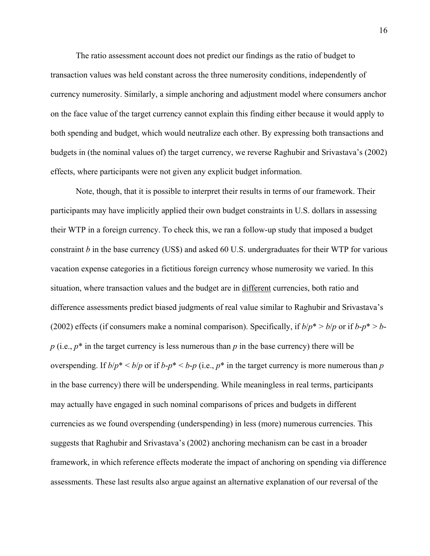The ratio assessment account does not predict our findings as the ratio of budget to transaction values was held constant across the three numerosity conditions, independently of currency numerosity. Similarly, a simple anchoring and adjustment model where consumers anchor on the face value of the target currency cannot explain this finding either because it would apply to both spending and budget, which would neutralize each other. By expressing both transactions and budgets in (the nominal values of) the target currency, we reverse Raghubir and Srivastava's (2002) effects, where participants were not given any explicit budget information.

Note, though, that it is possible to interpret their results in terms of our framework. Their participants may have implicitly applied their own budget constraints in U.S. dollars in assessing their WTP in a foreign currency. To check this, we ran a follow-up study that imposed a budget constraint *b* in the base currency (US\$) and asked 60 U.S. undergraduates for their WTP for various vacation expense categories in a fictitious foreign currency whose numerosity we varied. In this situation, where transaction values and the budget are in different currencies, both ratio and difference assessments predict biased judgments of real value similar to Raghubir and Srivastava's (2002) effects (if consumers make a nominal comparison). Specifically, if  $b/p^* > b/p$  or if  $b-p^* > b$  $p$  (i.e.,  $p^*$  in the target currency is less numerous than  $p$  in the base currency) there will be overspending. If  $b/p^*$  <  $b/p$  or if  $b-p^*$  <  $b-p$  (i.e.,  $p^*$  in the target currency is more numerous than *p* in the base currency) there will be underspending. While meaningless in real terms, participants may actually have engaged in such nominal comparisons of prices and budgets in different currencies as we found overspending (underspending) in less (more) numerous currencies. This suggests that Raghubir and Srivastava's (2002) anchoring mechanism can be cast in a broader framework, in which reference effects moderate the impact of anchoring on spending via difference assessments. These last results also argue against an alternative explanation of our reversal of the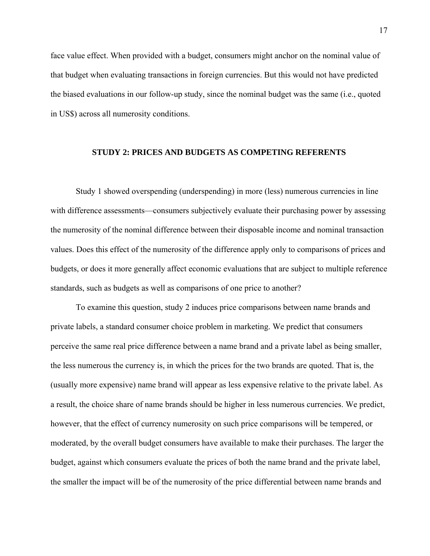face value effect. When provided with a budget, consumers might anchor on the nominal value of that budget when evaluating transactions in foreign currencies. But this would not have predicted the biased evaluations in our follow-up study, since the nominal budget was the same (i.e., quoted in US\$) across all numerosity conditions.

### **STUDY 2: PRICES AND BUDGETS AS COMPETING REFERENTS**

Study 1 showed overspending (underspending) in more (less) numerous currencies in line with difference assessments—consumers subjectively evaluate their purchasing power by assessing the numerosity of the nominal difference between their disposable income and nominal transaction values. Does this effect of the numerosity of the difference apply only to comparisons of prices and budgets, or does it more generally affect economic evaluations that are subject to multiple reference standards, such as budgets as well as comparisons of one price to another?

To examine this question, study 2 induces price comparisons between name brands and private labels, a standard consumer choice problem in marketing. We predict that consumers perceive the same real price difference between a name brand and a private label as being smaller, the less numerous the currency is, in which the prices for the two brands are quoted. That is, the (usually more expensive) name brand will appear as less expensive relative to the private label. As a result, the choice share of name brands should be higher in less numerous currencies. We predict, however, that the effect of currency numerosity on such price comparisons will be tempered, or moderated, by the overall budget consumers have available to make their purchases. The larger the budget, against which consumers evaluate the prices of both the name brand and the private label, the smaller the impact will be of the numerosity of the price differential between name brands and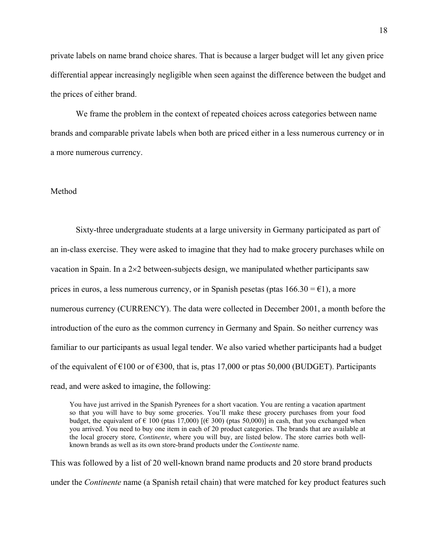private labels on name brand choice shares. That is because a larger budget will let any given price differential appear increasingly negligible when seen against the difference between the budget and the prices of either brand.

We frame the problem in the context of repeated choices across categories between name brands and comparable private labels when both are priced either in a less numerous currency or in a more numerous currency.

### Method

 Sixty-three undergraduate students at a large university in Germany participated as part of an in-class exercise. They were asked to imagine that they had to make grocery purchases while on vacation in Spain. In a 2×2 between-subjects design, we manipulated whether participants saw prices in euros, a less numerous currency, or in Spanish pesetas (ptas  $166.30 = \text{\textsterling}1$ ), a more numerous currency (CURRENCY). The data were collected in December 2001, a month before the introduction of the euro as the common currency in Germany and Spain. So neither currency was familiar to our participants as usual legal tender. We also varied whether participants had a budget of the equivalent of  $\epsilon$ 100 or of  $\epsilon$ 300, that is, ptas 17,000 or ptas 50,000 (BUDGET). Participants read, and were asked to imagine, the following:

You have just arrived in the Spanish Pyrenees for a short vacation. You are renting a vacation apartment so that you will have to buy some groceries. You'll make these grocery purchases from your food budget, the equivalent of  $\epsilon$  100 (ptas 17,000) [( $\epsilon$  300) (ptas 50,000)] in cash, that you exchanged when you arrived. You need to buy one item in each of 20 product categories. The brands that are available at the local grocery store, *Continente*, where you will buy, are listed below. The store carries both wellknown brands as well as its own store-brand products under the *Continente* name.

This was followed by a list of 20 well-known brand name products and 20 store brand products under the *Continente* name (a Spanish retail chain) that were matched for key product features such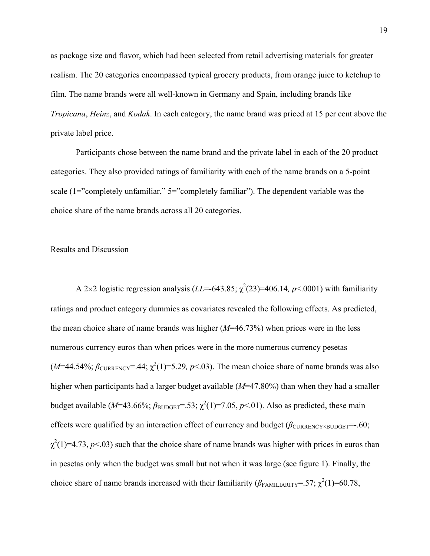as package size and flavor, which had been selected from retail advertising materials for greater realism. The 20 categories encompassed typical grocery products, from orange juice to ketchup to film. The name brands were all well-known in Germany and Spain, including brands like *Tropicana*, *Heinz*, and *Kodak*. In each category, the name brand was priced at 15 per cent above the private label price.

 Participants chose between the name brand and the private label in each of the 20 product categories. They also provided ratings of familiarity with each of the name brands on a 5-point scale (1="completely unfamiliar," 5="completely familiar"). The dependent variable was the choice share of the name brands across all 20 categories.

### Results and Discussion

A 2 $\times$ 2 logistic regression analysis (*LL*=-643.85;  $\chi^2$ (23)=406.14*, p*<.0001) with familiarity ratings and product category dummies as covariates revealed the following effects. As predicted, the mean choice share of name brands was higher (*M*=46.73%) when prices were in the less numerous currency euros than when prices were in the more numerous currency pesetas  $(M=44.54\%; \beta_{\text{CURRENCY}}=0.44; \chi^2(1)=5.29, p<0.03$ . The mean choice share of name brands was also higher when participants had a larger budget available (*M*=47.80%) than when they had a smaller budget available ( $M=43.66\%$ ;  $\beta_{\text{BUDGET}}=0.53$ ;  $\chi^2(1)=7.05$ ,  $p<0.01$ ). Also as predicted, these main effects were qualified by an interaction effect of currency and budget ( $β$ <sub>CURRENCY×BUDGET</sub>=-.60;  $\chi^2(1)$ =4.73, *p*<.03) such that the choice share of name brands was higher with prices in euros than in pesetas only when the budget was small but not when it was large (see figure 1). Finally, the choice share of name brands increased with their familiarity ( $\beta_{FAMILIARITY}$ =.57;  $\chi^2(1)$ =60.78,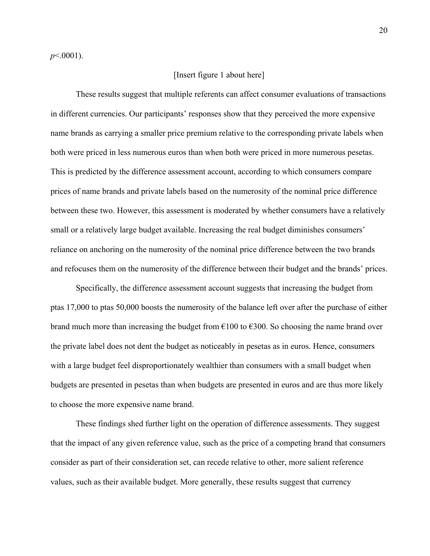*p*<.0001).

### [Insert figure 1 about here]

These results suggest that multiple referents can affect consumer evaluations of transactions in different currencies. Our participants' responses show that they perceived the more expensive name brands as carrying a smaller price premium relative to the corresponding private labels when both were priced in less numerous euros than when both were priced in more numerous pesetas. This is predicted by the difference assessment account, according to which consumers compare prices of name brands and private labels based on the numerosity of the nominal price difference between these two. However, this assessment is moderated by whether consumers have a relatively small or a relatively large budget available. Increasing the real budget diminishes consumers' reliance on anchoring on the numerosity of the nominal price difference between the two brands and refocuses them on the numerosity of the difference between their budget and the brands' prices.

Specifically, the difference assessment account suggests that increasing the budget from ptas 17,000 to ptas 50,000 boosts the numerosity of the balance left over after the purchase of either brand much more than increasing the budget from  $\epsilon$ 100 to  $\epsilon$ 300. So choosing the name brand over the private label does not dent the budget as noticeably in pesetas as in euros. Hence, consumers with a large budget feel disproportionately wealthier than consumers with a small budget when budgets are presented in pesetas than when budgets are presented in euros and are thus more likely to choose the more expensive name brand.

These findings shed further light on the operation of difference assessments. They suggest that the impact of any given reference value, such as the price of a competing brand that consumers consider as part of their consideration set, can recede relative to other, more salient reference values, such as their available budget. More generally, these results suggest that currency

20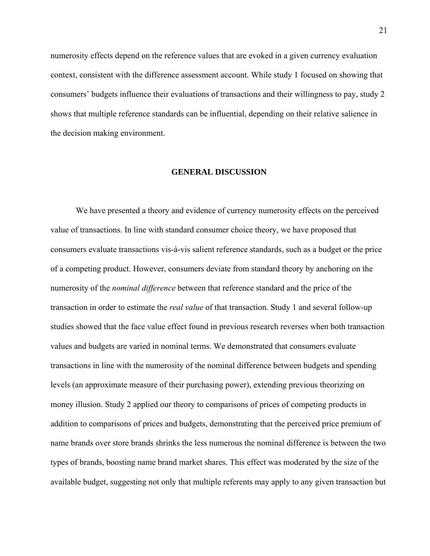numerosity effects depend on the reference values that are evoked in a given currency evaluation context, consistent with the difference assessment account. While study 1 focused on showing that consumers' budgets influence their evaluations of transactions and their willingness to pay, study 2 shows that multiple reference standards can be influential, depending on their relative salience in the decision making environment.

#### **GENERAL DISCUSSION**

We have presented a theory and evidence of currency numerosity effects on the perceived value of transactions. In line with standard consumer choice theory, we have proposed that consumers evaluate transactions vis-à-vis salient reference standards, such as a budget or the price of a competing product. However, consumers deviate from standard theory by anchoring on the numerosity of the *nominal difference* between that reference standard and the price of the transaction in order to estimate the *real value* of that transaction. Study 1 and several follow-up studies showed that the face value effect found in previous research reverses when both transaction values and budgets are varied in nominal terms. We demonstrated that consumers evaluate transactions in line with the numerosity of the nominal difference between budgets and spending levels (an approximate measure of their purchasing power), extending previous theorizing on money illusion. Study 2 applied our theory to comparisons of prices of competing products in addition to comparisons of prices and budgets, demonstrating that the perceived price premium of name brands over store brands shrinks the less numerous the nominal difference is between the two types of brands, boosting name brand market shares. This effect was moderated by the size of the available budget, suggesting not only that multiple referents may apply to any given transaction but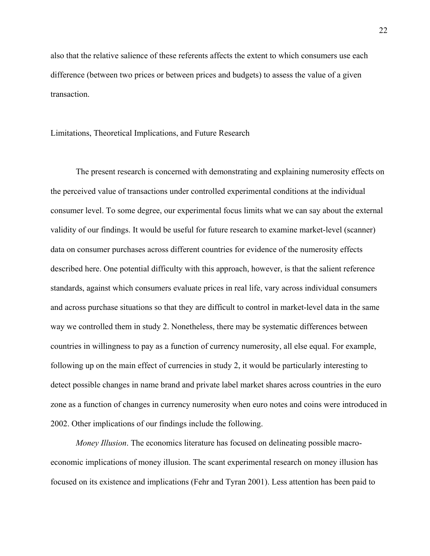also that the relative salience of these referents affects the extent to which consumers use each difference (between two prices or between prices and budgets) to assess the value of a given transaction.

#### Limitations, Theoretical Implications, and Future Research

The present research is concerned with demonstrating and explaining numerosity effects on the perceived value of transactions under controlled experimental conditions at the individual consumer level. To some degree, our experimental focus limits what we can say about the external validity of our findings. It would be useful for future research to examine market-level (scanner) data on consumer purchases across different countries for evidence of the numerosity effects described here. One potential difficulty with this approach, however, is that the salient reference standards, against which consumers evaluate prices in real life, vary across individual consumers and across purchase situations so that they are difficult to control in market-level data in the same way we controlled them in study 2. Nonetheless, there may be systematic differences between countries in willingness to pay as a function of currency numerosity, all else equal. For example, following up on the main effect of currencies in study 2, it would be particularly interesting to detect possible changes in name brand and private label market shares across countries in the euro zone as a function of changes in currency numerosity when euro notes and coins were introduced in 2002. Other implications of our findings include the following.

*Money Illusion*. The economics literature has focused on delineating possible macroeconomic implications of money illusion. The scant experimental research on money illusion has focused on its existence and implications (Fehr and Tyran 2001). Less attention has been paid to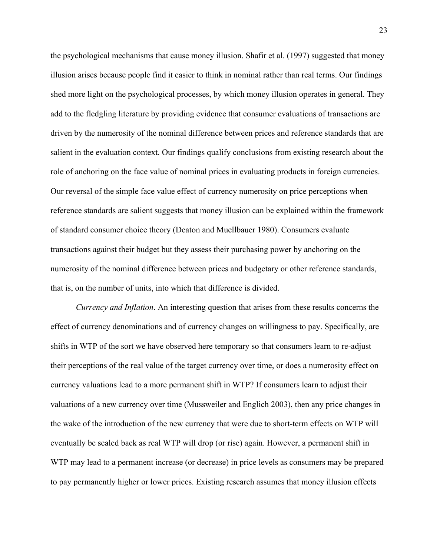the psychological mechanisms that cause money illusion. Shafir et al. (1997) suggested that money illusion arises because people find it easier to think in nominal rather than real terms. Our findings shed more light on the psychological processes, by which money illusion operates in general. They add to the fledgling literature by providing evidence that consumer evaluations of transactions are driven by the numerosity of the nominal difference between prices and reference standards that are salient in the evaluation context. Our findings qualify conclusions from existing research about the role of anchoring on the face value of nominal prices in evaluating products in foreign currencies. Our reversal of the simple face value effect of currency numerosity on price perceptions when reference standards are salient suggests that money illusion can be explained within the framework of standard consumer choice theory (Deaton and Muellbauer 1980). Consumers evaluate transactions against their budget but they assess their purchasing power by anchoring on the numerosity of the nominal difference between prices and budgetary or other reference standards, that is, on the number of units, into which that difference is divided.

*Currency and Inflation*. An interesting question that arises from these results concerns the effect of currency denominations and of currency changes on willingness to pay. Specifically, are shifts in WTP of the sort we have observed here temporary so that consumers learn to re-adjust their perceptions of the real value of the target currency over time, or does a numerosity effect on currency valuations lead to a more permanent shift in WTP? If consumers learn to adjust their valuations of a new currency over time (Mussweiler and Englich 2003), then any price changes in the wake of the introduction of the new currency that were due to short-term effects on WTP will eventually be scaled back as real WTP will drop (or rise) again. However, a permanent shift in WTP may lead to a permanent increase (or decrease) in price levels as consumers may be prepared to pay permanently higher or lower prices. Existing research assumes that money illusion effects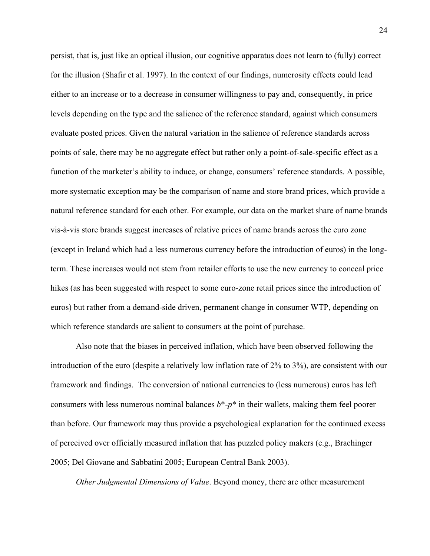persist, that is, just like an optical illusion, our cognitive apparatus does not learn to (fully) correct for the illusion (Shafir et al. 1997). In the context of our findings, numerosity effects could lead either to an increase or to a decrease in consumer willingness to pay and, consequently, in price levels depending on the type and the salience of the reference standard, against which consumers evaluate posted prices. Given the natural variation in the salience of reference standards across points of sale, there may be no aggregate effect but rather only a point-of-sale-specific effect as a function of the marketer's ability to induce, or change, consumers' reference standards. A possible, more systematic exception may be the comparison of name and store brand prices, which provide a natural reference standard for each other. For example, our data on the market share of name brands vis-à-vis store brands suggest increases of relative prices of name brands across the euro zone (except in Ireland which had a less numerous currency before the introduction of euros) in the longterm. These increases would not stem from retailer efforts to use the new currency to conceal price hikes (as has been suggested with respect to some euro-zone retail prices since the introduction of euros) but rather from a demand-side driven, permanent change in consumer WTP, depending on which reference standards are salient to consumers at the point of purchase.

Also note that the biases in perceived inflation, which have been observed following the introduction of the euro (despite a relatively low inflation rate of 2% to 3%), are consistent with our framework and findings. The conversion of national currencies to (less numerous) euros has left consumers with less numerous nominal balances  $b^*$ - $p^*$  in their wallets, making them feel poorer than before. Our framework may thus provide a psychological explanation for the continued excess of perceived over officially measured inflation that has puzzled policy makers (e.g., Brachinger 2005; Del Giovane and Sabbatini 2005; European Central Bank 2003).

*Other Judgmental Dimensions of Value*. Beyond money, there are other measurement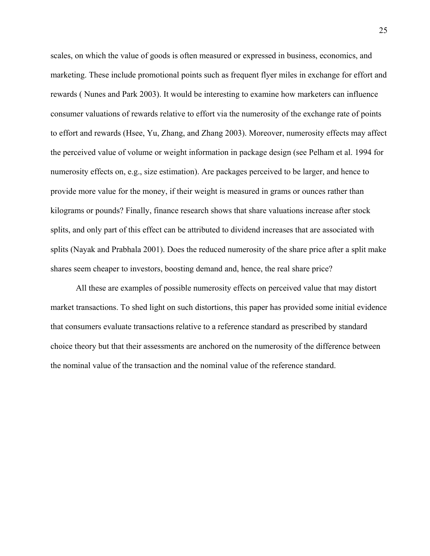scales, on which the value of goods is often measured or expressed in business, economics, and marketing. These include promotional points such as frequent flyer miles in exchange for effort and rewards ( Nunes and Park 2003). It would be interesting to examine how marketers can influence consumer valuations of rewards relative to effort via the numerosity of the exchange rate of points to effort and rewards (Hsee, Yu, Zhang, and Zhang 2003). Moreover, numerosity effects may affect the perceived value of volume or weight information in package design (see Pelham et al. 1994 for numerosity effects on, e.g., size estimation). Are packages perceived to be larger, and hence to provide more value for the money, if their weight is measured in grams or ounces rather than kilograms or pounds? Finally, finance research shows that share valuations increase after stock splits, and only part of this effect can be attributed to dividend increases that are associated with splits (Nayak and Prabhala 2001). Does the reduced numerosity of the share price after a split make shares seem cheaper to investors, boosting demand and, hence, the real share price?

All these are examples of possible numerosity effects on perceived value that may distort market transactions. To shed light on such distortions, this paper has provided some initial evidence that consumers evaluate transactions relative to a reference standard as prescribed by standard choice theory but that their assessments are anchored on the numerosity of the difference between the nominal value of the transaction and the nominal value of the reference standard.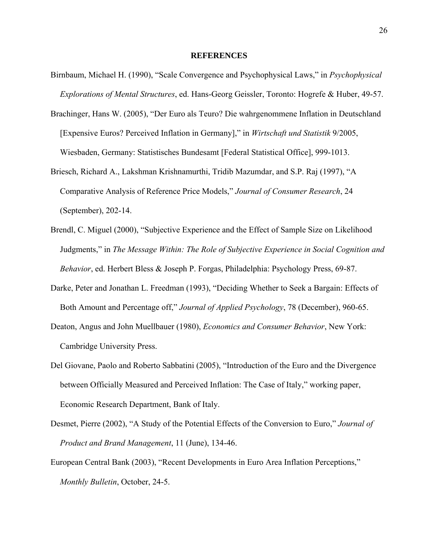#### **REFERENCES**

- Birnbaum, Michael H. (1990), "Scale Convergence and Psychophysical Laws," in *Psychophysical Explorations of Mental Structures*, ed. Hans-Georg Geissler, Toronto: Hogrefe & Huber, 49-57.
- Brachinger, Hans W. (2005), "Der Euro als Teuro? Die wahrgenommene Inflation in Deutschland [Expensive Euros? Perceived Inflation in Germany]," in *Wirtschaft und Statistik* 9/2005, Wiesbaden, Germany: Statistisches Bundesamt [Federal Statistical Office], 999-1013.
- Briesch, Richard A., Lakshman Krishnamurthi, Tridib Mazumdar, and S.P. Raj (1997), "A Comparative Analysis of Reference Price Models," *Journal of Consumer Research*, 24 (September), 202-14.
- Brendl, C. Miguel (2000), "Subjective Experience and the Effect of Sample Size on Likelihood Judgments," in *The Message Within: The Role of Subjective Experience in Social Cognition and Behavior*, ed. Herbert Bless & Joseph P. Forgas, Philadelphia: Psychology Press, 69-87.
- Darke, Peter and Jonathan L. Freedman (1993), "Deciding Whether to Seek a Bargain: Effects of Both Amount and Percentage off," *Journal of Applied Psychology*, 78 (December), 960-65.
- Deaton, Angus and John Muellbauer (1980), *Economics and Consumer Behavior*, New York: Cambridge University Press.
- Del Giovane, Paolo and Roberto Sabbatini (2005), "Introduction of the Euro and the Divergence between Officially Measured and Perceived Inflation: The Case of Italy," working paper, Economic Research Department, Bank of Italy.
- Desmet, Pierre (2002), "A Study of the Potential Effects of the Conversion to Euro," *Journal of Product and Brand Management*, 11 (June), 134-46.
- European Central Bank (2003), "Recent Developments in Euro Area Inflation Perceptions," *Monthly Bulletin*, October, 24-5.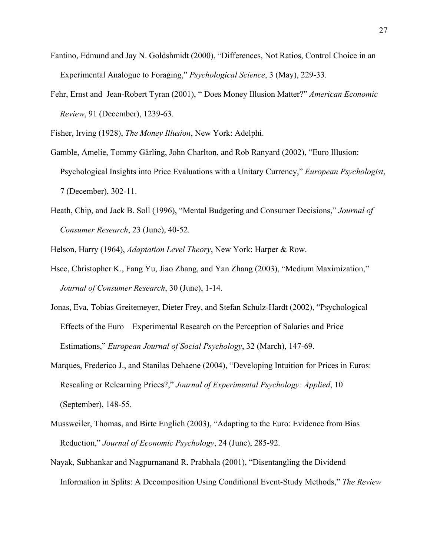- Fantino, Edmund and Jay N. Goldshmidt (2000), "Differences, Not Ratios, Control Choice in an Experimental Analogue to Foraging," *Psychological Science*, 3 (May), 229-33.
- Fehr, Ernst and Jean-Robert Tyran (2001), " Does Money Illusion Matter?" *American Economic Review*, 91 (December), 1239-63.

Fisher, Irving (1928), *The Money Illusion*, New York: Adelphi.

- Gamble, Amelie, Tommy Gärling, John Charlton, and Rob Ranyard (2002), "Euro Illusion: Psychological Insights into Price Evaluations with a Unitary Currency," *European Psychologist*, 7 (December), 302-11.
- Heath, Chip, and Jack B. Soll (1996), "Mental Budgeting and Consumer Decisions," *Journal of Consumer Research*, 23 (June), 40-52.

Helson, Harry (1964), *Adaptation Level Theory*, New York: Harper & Row.

- Hsee, Christopher K., Fang Yu, Jiao Zhang, and Yan Zhang (2003), "Medium Maximization," *Journal of Consumer Research*, 30 (June), 1-14.
- Jonas, Eva, Tobias Greitemeyer, Dieter Frey, and Stefan Schulz-Hardt (2002), "Psychological Effects of the Euro—Experimental Research on the Perception of Salaries and Price Estimations," *European Journal of Social Psychology*, 32 (March), 147-69.
- Marques, Frederico J., and Stanilas Dehaene (2004), "Developing Intuition for Prices in Euros: Rescaling or Relearning Prices?," *Journal of Experimental Psychology: Applied*, 10 (September), 148-55.
- Mussweiler, Thomas, and Birte Englich (2003), "Adapting to the Euro: Evidence from Bias Reduction," *Journal of Economic Psychology*, 24 (June), 285-92.
- Nayak, Subhankar and Nagpurnanand R. Prabhala (2001), "Disentangling the Dividend Information in Splits: A Decomposition Using Conditional Event-Study Methods," *The Review*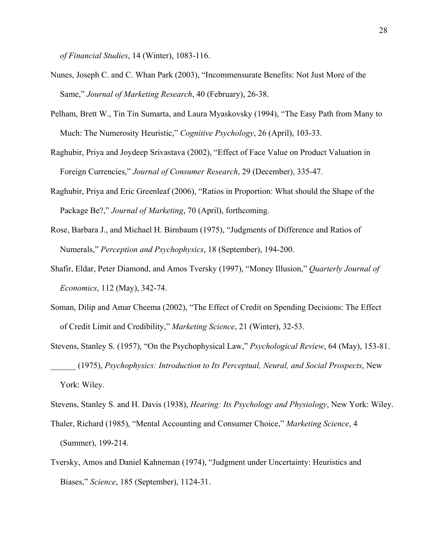*of Financial Studies*, 14 (Winter), 1083-116.

- Nunes, Joseph C. and C. Whan Park (2003), "Incommensurate Benefits: Not Just More of the Same," *Journal of Marketing Research*, 40 (February), 26-38.
- Pelham, Brett W., Tin Tin Sumarta, and Laura Myaskovsky (1994), "The Easy Path from Many to Much: The Numerosity Heuristic," *Cognitive Psychology*, 26 (April), 103-33.
- Raghubir, Priya and Joydeep Srivastava (2002), "Effect of Face Value on Product Valuation in Foreign Currencies," *Journal of Consumer Research*, 29 (December), 335-47.
- Raghubir, Priya and Eric Greenleaf (2006), "Ratios in Proportion: What should the Shape of the Package Be?," *Journal of Marketing*, 70 (April), forthcoming.
- Rose, Barbara J., and Michael H. Birnbaum (1975), "Judgments of Difference and Ratios of Numerals," *Perception and Psychophysics*, 18 (September), 194-200.
- Shafir, Eldar, Peter Diamond, and Amos Tversky (1997), "Money Illusion," *Quarterly Journal of Economics*, 112 (May), 342-74.
- Soman, Dilip and Amar Cheema (2002), "The Effect of Credit on Spending Decisions: The Effect of Credit Limit and Credibility," *Marketing Science*, 21 (Winter), 32-53.
- Stevens, Stanley S. (1957), "On the Psychophysical Law," *Psychological Review*, 64 (May), 153-81. \_\_\_\_\_\_ (1975), *Psychophysics: Introduction to Its Perceptual, Neural, and Social Prospects*, New York: Wiley.

Stevens, Stanley S. and H. Davis (1938), *Hearing: Its Psychology and Physiology*, New York: Wiley.

- Thaler, Richard (1985), "Mental Accounting and Consumer Choice," *Marketing Science*, 4 (Summer), 199-214.
- Tversky, Amos and Daniel Kahneman (1974), "Judgment under Uncertainty: Heuristics and Biases," *Science*, 185 (September), 1124-31.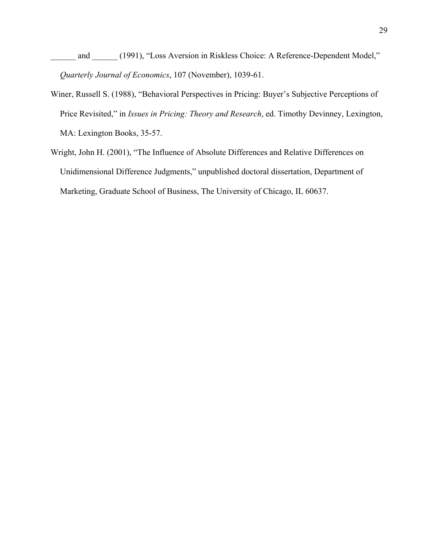\_\_\_\_\_\_ and \_\_\_\_\_\_ (1991), "Loss Aversion in Riskless Choice: A Reference-Dependent Model," *Quarterly Journal of Economics*, 107 (November), 1039-61.

- Winer, Russell S. (1988), "Behavioral Perspectives in Pricing: Buyer's Subjective Perceptions of Price Revisited," in *Issues in Pricing: Theory and Research*, ed. Timothy Devinney, Lexington, MA: Lexington Books, 35-57.
- Wright, John H. (2001), "The Influence of Absolute Differences and Relative Differences on Unidimensional Difference Judgments," unpublished doctoral dissertation, Department of Marketing, Graduate School of Business, The University of Chicago, IL 60637.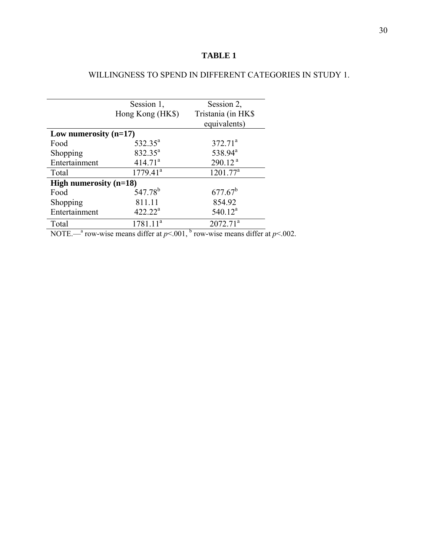# **TABLE 1**

## WILLINGNESS TO SPEND IN DIFFERENT CATEGORIES IN STUDY 1.

|                          | Session 1,<br>Hong Kong (HK\$) | Session 2,<br>Tristania (in HK\$ |  |
|--------------------------|--------------------------------|----------------------------------|--|
|                          |                                | equivalents)                     |  |
| Low numerosity $(n=17)$  |                                |                                  |  |
| Food                     | $532.35^a$                     | $372.71^a$                       |  |
| Shopping                 | $832.35^a$                     | 538.94 <sup>a</sup>              |  |
| Entertainment            | 414.71 <sup>a</sup>            | 290.12 <sup>a</sup>              |  |
| Total                    | $\overline{1779.41}^{a}$       | $1201.77^a$                      |  |
| High numerosity $(n=18)$ |                                |                                  |  |
| Food                     | 547.78 <sup>b</sup>            | $677.67^b$                       |  |
| Shopping                 | 811.11                         | 854.92                           |  |
| Entertainment            | $422.22^a$                     | $540.12^a$                       |  |
| Total                    | $1781.11^a$                    | $2072.71^a$                      |  |

NOTE.—<sup>a</sup> row-wise means differ at  $p<.001$ , <sup>b</sup> row-wise means differ at  $p<.002$ .